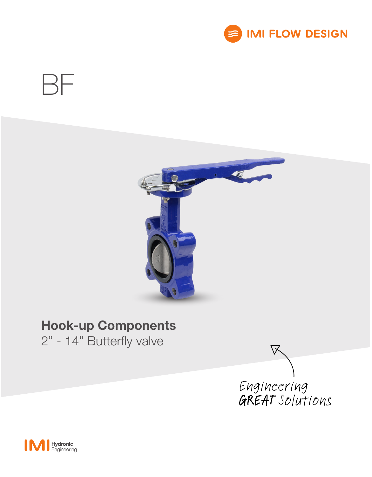





# Hook-up Components

2" - 14" Butterfly valve



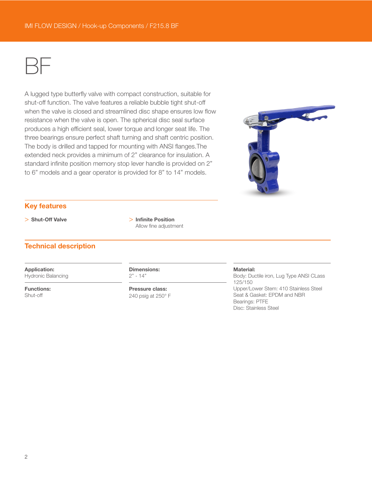

A lugged type butterfly valve with compact construction, suitable for shut-off function. The valve features a reliable bubble tight shut-off when the valve is closed and streamlined disc shape ensures low flow resistance when the valve is open. The spherical disc seal surface produces a high efficient seal, lower torque and longer seat life. The three bearings ensure perfect shaft turning and shaft centric position. The body is drilled and tapped for mounting with ANSI flanges.The extended neck provides a minimum of 2" clearance for insulation. A standard infinite position memory stop lever handle is provided on 2" to 6" models and a gear operator is provided for 8" to 14" models.



## Key features

> Shut-Off Valve > 10 > Infinite Position Allow fine adjustment

## Technical description

Application: Hydronic Balancing

Functions: Shut-off

Dimensions:  $2" - 14"$ 

Pressure class: 240 psig at 250° F

#### Material:

Body: Ductile iron, Lug Type ANSI CLass 125/150 Upper/Lower Stem: 410 Stainless Steel Seat & Gasket: EPDM and NBR Bearings: PTFE Disc: Stainless Steel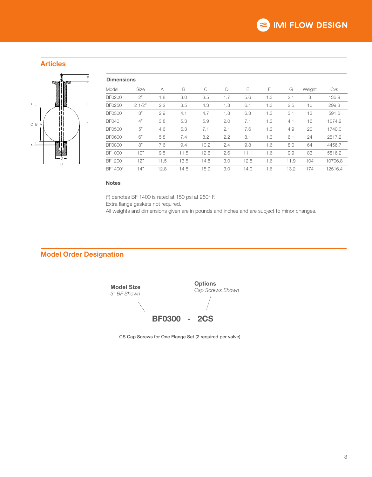## Articles



| <b>Dimensions</b> |       |      |      |      |     |      |     |      |        |         |
|-------------------|-------|------|------|------|-----|------|-----|------|--------|---------|
| Model             | Size  | A    | B    | C    | D   | Ε    | F   | G    | Weight | Cvs     |
| <b>BF0200</b>     | 2"    | 1.8  | 3.0  | 3.5  | 1.7 | 5.6  | 1.3 | 2.1  | 8      | 136.9   |
| <b>BF0250</b>     | 21/2" | 2.2  | 3.5  | 4.3  | 1.8 | 6.1  | 1.3 | 2.5  | 10     | 299.3   |
| <b>BF0300</b>     | 3"    | 2.9  | 4.1  | 4.7  | 1.8 | 6.3  | 1.3 | 3.1  | 13     | 591.6   |
| BF040             | 4"    | 3.8  | 5.3  | 5.9  | 2.0 | 7.1  | 1.3 | 4.1  | 16     | 1074.2  |
| BF0500            | 5"    | 4.6  | 6.3  | 7.1  | 2.1 | 7.6  | 1.3 | 4.9  | 20     | 1740.0  |
| <b>BF0600</b>     | 6"    | 5.8  | 7.4  | 8.2  | 2.2 | 8.1  | 1.3 | 6.1  | 24     | 2517.2  |
| BF0800            | 8"    | 7.6  | 9.4  | 10.2 | 2.4 | 9.8  | 1.6 | 8.0  | 64     | 4456.7  |
| <b>BF1000</b>     | 10"   | 9.5  | 11.5 | 12.6 | 2.6 | 11.1 | 1.6 | 9.9  | 83     | 5816.2  |
| <b>BF1200</b>     | 12"   | 11.5 | 13.5 | 14.8 | 3.0 | 12.8 | 1.6 | 11.9 | 104    | 10706.8 |
| BF1400*           | 14"   | 12.8 | 14.8 | 15.9 | 3.0 | 14.0 | 1.6 | 13.2 | 174    | 12516.4 |
|                   |       |      |      |      |     |      |     |      |        |         |

### Notes

(\*) denotes BF 1400 is rated at 150 psi at 250° F.

Extra flange gaskets not required.

All weights and dimensions given are in pounds and inches and are subject to minor changes.

## Model Order Designation

**Model Size** *3" BF Shown*

**Options** *Cap Screws Shown*

BF0300 - 2CS

CS Cap Screws for One Flange Set (2 required per valve)